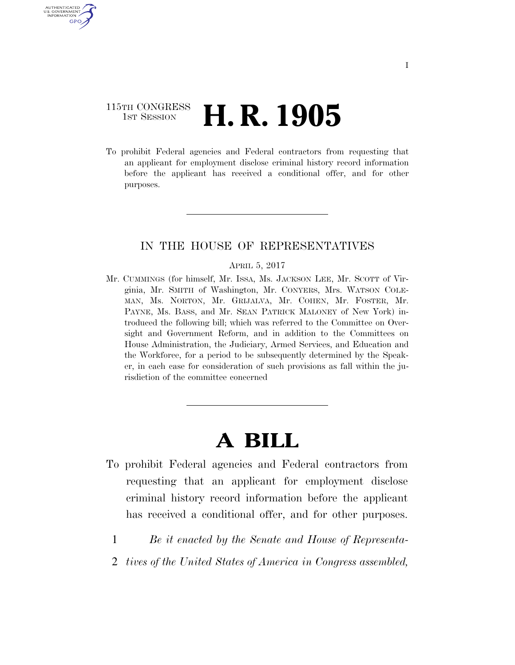## 115TH CONGRESS **1st Session H. R. 1905**

AUTHENTICATED U.S. GOVERNMENT GPO

> To prohibit Federal agencies and Federal contractors from requesting that an applicant for employment disclose criminal history record information before the applicant has received a conditional offer, and for other purposes.

## IN THE HOUSE OF REPRESENTATIVES

#### APRIL 5, 2017

Mr. CUMMINGS (for himself, Mr. ISSA, Ms. JACKSON LEE, Mr. SCOTT of Virginia, Mr. SMITH of Washington, Mr. CONYERS, Mrs. WATSON COLE-MAN, Ms. NORTON, Mr. GRIJALVA, Mr. COHEN, Mr. FOSTER, Mr. PAYNE, Ms. BASS, and Mr. SEAN PATRICK MALONEY of New York) introduced the following bill; which was referred to the Committee on Oversight and Government Reform, and in addition to the Committees on House Administration, the Judiciary, Armed Services, and Education and the Workforce, for a period to be subsequently determined by the Speaker, in each case for consideration of such provisions as fall within the jurisdiction of the committee concerned

# **A BILL**

- To prohibit Federal agencies and Federal contractors from requesting that an applicant for employment disclose criminal history record information before the applicant has received a conditional offer, and for other purposes.
	- 1 *Be it enacted by the Senate and House of Representa-*
	- 2 *tives of the United States of America in Congress assembled,*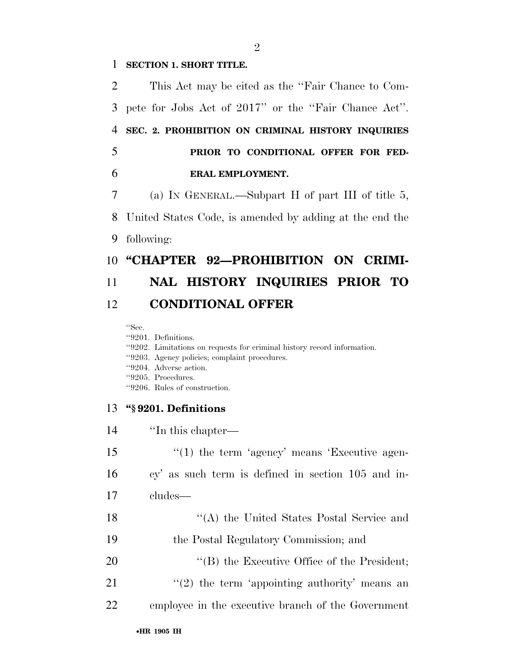## 1 **SECTION 1. SHORT TITLE.**

 This Act may be cited as the ''Fair Chance to Com- pete for Jobs Act of 2017'' or the ''Fair Chance Act''. **SEC. 2. PROHIBITION ON CRIMINAL HISTORY INQUIRIES PRIOR TO CONDITIONAL OFFER FOR FED- ERAL EMPLOYMENT.**  (a) IN GENERAL.—Subpart H of part III of title 5, United States Code, is amended by adding at the end the following:

## 10 **"CHAPTER 92-PROHIBITION ON CRIMI-**

## 11 **NAL HISTORY INQUIRIES PRIOR TO**  12 **CONDITIONAL OFFER**

''Sec.

''9201. Definitions.

- ''9202. Limitations on requests for criminal history record information.
- ''9203. Agency policies; complaint procedures.
- ''9204. Adverse action.
- ''9205. Procedures.
- ''9206. Rules of construction.

### 13 **''§ 9201. Definitions**

| 14 | "In this chapter—                                  |
|----|----------------------------------------------------|
| 15 | $\lq(1)$ the term 'agency' means 'Executive agen-  |
| 16 | cy' as such term is defined in section 105 and in- |
| 17 | cludes—                                            |
| 18 | "(A) the United States Postal Service and          |
| 19 | the Postal Regulatory Commission; and              |
| 20 | $\lq\lq$ the Executive Office of the President;    |
| 21 | $\lq(2)$ the term 'appointing authority' means an  |
| 22 | employee in the executive branch of the Government |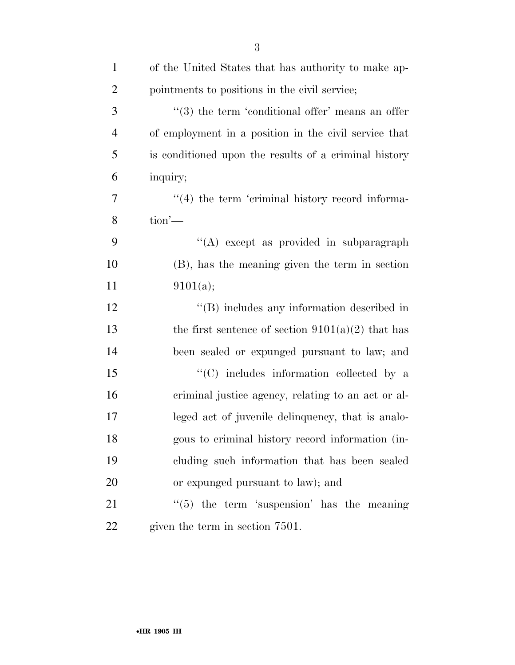| $\mathbf{1}$   | of the United States that has authority to make ap-          |
|----------------|--------------------------------------------------------------|
| $\overline{2}$ | pointments to positions in the civil service;                |
| 3              | $\cdot\cdot$ (3) the term 'conditional offer' means an offer |
| $\overline{4}$ | of employment in a position in the civil service that        |
| 5              | is conditioned upon the results of a criminal history        |
| 6              | inquiry;                                                     |
| 7              | $\cdot$ (4) the term 'criminal history record informa-       |
| 8              | $\text{tion}'$                                               |
| 9              | "(A) except as provided in subparagraph                      |
| 10             | (B), has the meaning given the term in section               |
| 11             | 9101(a);                                                     |
| 12             | "(B) includes any information described in                   |
| 13             | the first sentence of section $9101(a)(2)$ that has          |
| 14             | been sealed or expunged pursuant to law; and                 |
| 15             | "(C) includes information collected by a                     |
| 16             | criminal justice agency, relating to an act or al-           |
| 17             | leged act of juvenile delinquency, that is analo-            |
| 18             | gous to criminal history record information (in-             |
| 19             | cluding such information that has been sealed                |
| 20             | or expunged pursuant to law); and                            |
| 21             | $\lq(5)$ the term 'suspension' has the meaning               |
| 22             | given the term in section 7501.                              |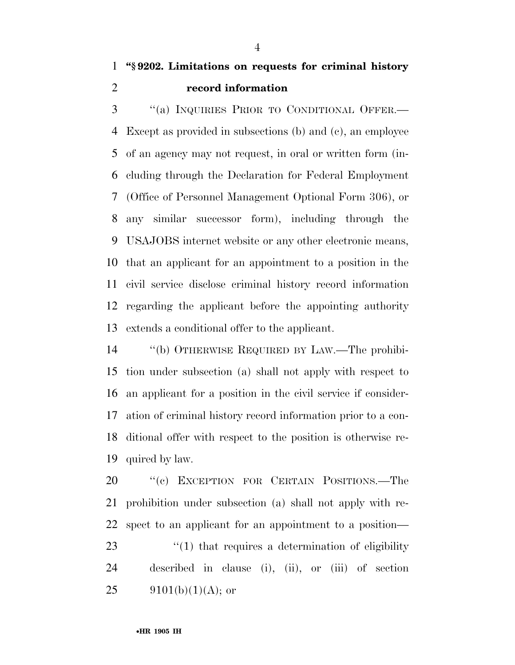''(a) INQUIRIES PRIOR TO CONDITIONAL OFFER.— Except as provided in subsections (b) and (c), an employee of an agency may not request, in oral or written form (in- cluding through the Declaration for Federal Employment (Office of Personnel Management Optional Form 306), or any similar successor form), including through the USAJOBS internet website or any other electronic means, that an applicant for an appointment to a position in the civil service disclose criminal history record information regarding the applicant before the appointing authority extends a conditional offer to the applicant.

 ''(b) OTHERWISE REQUIRED BY LAW.—The prohibi- tion under subsection (a) shall not apply with respect to an applicant for a position in the civil service if consider- ation of criminal history record information prior to a con- ditional offer with respect to the position is otherwise re-quired by law.

20 "'(c) EXCEPTION FOR CERTAIN POSITIONS.—The prohibition under subsection (a) shall not apply with re- spect to an applicant for an appointment to a position—  $\frac{1}{2}$  (1) that requires a determination of eligibility described in clause (i), (ii), or (iii) of section  $9101(b)(1)(A);$  or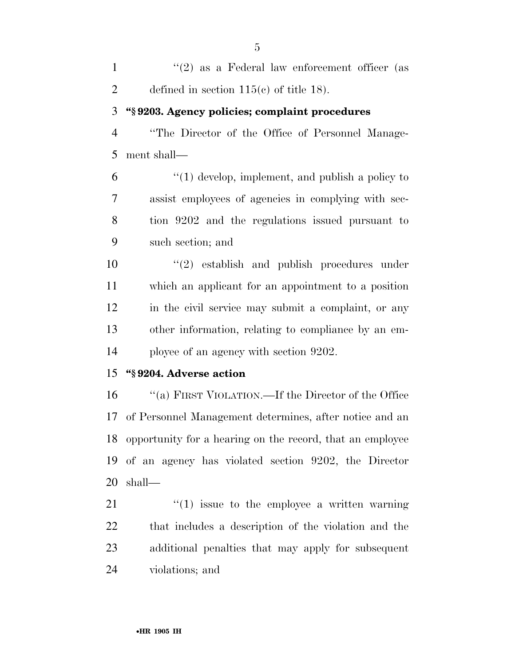| $\mathbf{1}$   | "(2) as a Federal law enforcement officer (as             |
|----------------|-----------------------------------------------------------|
| $\overline{2}$ | defined in section $115(c)$ of title 18).                 |
| 3              | "§9203. Agency policies; complaint procedures             |
| $\overline{4}$ | "The Director of the Office of Personnel Manage-          |
| 5              | ment shall-                                               |
| 6              | $"(1)$ develop, implement, and publish a policy to        |
| 7              | assist employees of agencies in complying with sec-       |
| 8              | tion 9202 and the regulations issued pursuant to          |
| 9              | such section; and                                         |
| 10             | $(2)$ establish and publish procedures under              |
| 11             | which an applicant for an appointment to a position       |
| 12             | in the civil service may submit a complaint, or any       |
| 13             | other information, relating to compliance by an em-       |
| 14             | ployee of an agency with section 9202.                    |
| 15             | "§9204. Adverse action                                    |
| 16             | "(a) FIRST VIOLATION.—If the Director of the Office       |
| 17             | of Personnel Management determines, after notice and an   |
| 18             | opportunity for a hearing on the record, that an employee |

 ''(1) issue to the employee a written warning that includes a description of the violation and the additional penalties that may apply for subsequent violations; and

of an agency has violated section 9202, the Director

shall—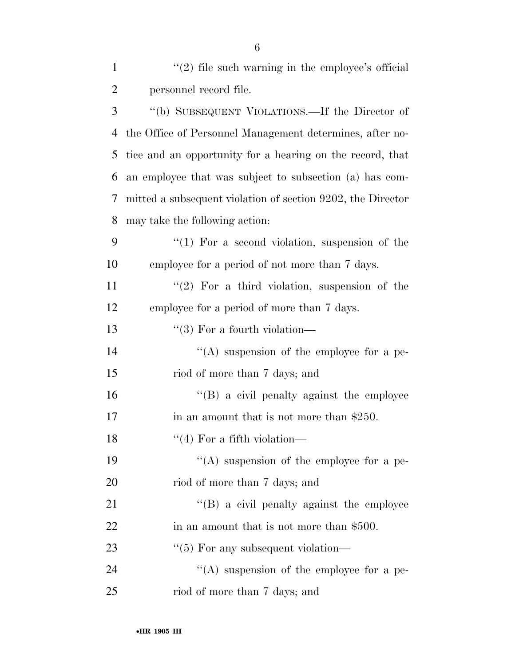| $\mathbf{1}$   | $\lq(2)$ file such warning in the employee's official       |
|----------------|-------------------------------------------------------------|
| $\overline{2}$ | personnel record file.                                      |
| 3              | "(b) SUBSEQUENT VIOLATIONS.—If the Director of              |
| 4              | the Office of Personnel Management determines, after no-    |
| 5              | tice and an opportunity for a hearing on the record, that   |
| 6              | an employee that was subject to subsection (a) has com-     |
| 7              | mitted a subsequent violation of section 9202, the Director |
| 8              | may take the following action:                              |
| 9              | $\lq(1)$ For a second violation, suspension of the          |
| 10             | employee for a period of not more than 7 days.              |
| 11             | $\lq(2)$ For a third violation, suspension of the           |
| 12             | employee for a period of more than 7 days.                  |
| 13             | $\lq(3)$ For a fourth violation—                            |
| 14             | $\lq\lq$ suspension of the employee for a pe-               |
| 15             | riod of more than 7 days; and                               |
| 16             | $\lq\lq (B)$ a civil penalty against the employee           |
| 17             | in an amount that is not more than $$250$ .                 |
| 18             | $\lq(4)$ For a fifth violation—                             |
| 19             | "(A) suspension of the employee for a pe-                   |
| 20             | riod of more than 7 days; and                               |
| 21             | $\lq\lq$ (B) a civil penalty against the employee           |
| 22             | in an amount that is not more than \$500.                   |
| 23             | $\lq(5)$ For any subsequent violation—                      |
| 24             | $\lq\lq$ suspension of the employee for a pe-               |
| 25             | riod of more than 7 days; and                               |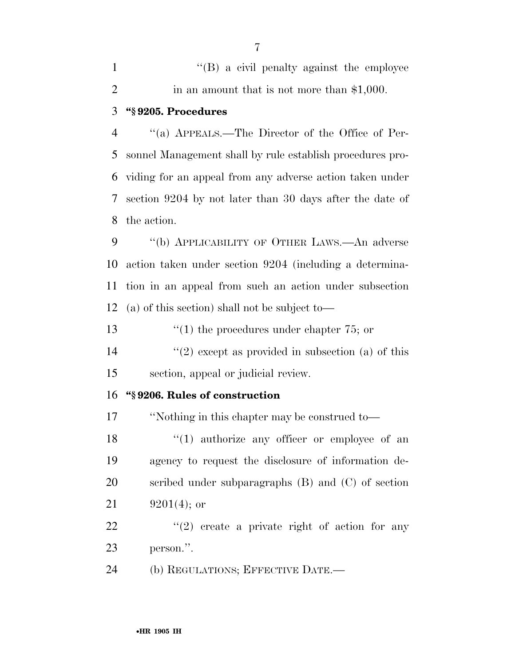1 ''(B) a civil penalty against the employee 2 in an amount that is not more than \$1,000.

## **''§ 9205. Procedures**

 ''(a) APPEALS.—The Director of the Office of Per- sonnel Management shall by rule establish procedures pro- viding for an appeal from any adverse action taken under section 9204 by not later than 30 days after the date of the action.

 ''(b) APPLICABILITY OF OTHER LAWS.—An adverse action taken under section 9204 (including a determina- tion in an appeal from such an action under subsection (a) of this section) shall not be subject to—

13 ''(1) the procedures under chapter 75; or

14  $(2)$  except as provided in subsection (a) of this section, appeal or judicial review.

### **''§ 9206. Rules of construction**

''Nothing in this chapter may be construed to—

18 ''(1) authorize any officer or employee of an agency to request the disclosure of information de- scribed under subparagraphs (B) and (C) of section  $9201(4)$ ; or

22  $\frac{u(2)}{2}$  create a private right of action for any person.''.

(b) REGULATIONS; EFFECTIVE DATE.—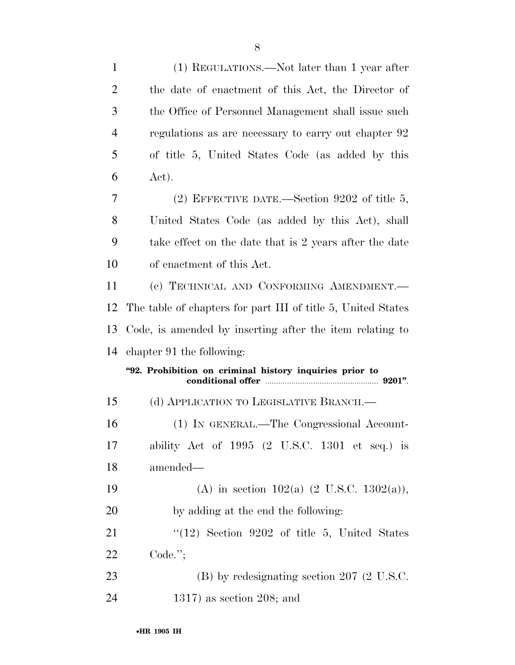| $\mathbf{1}$   | (1) REGULATIONS.—Not later than 1 year after                 |
|----------------|--------------------------------------------------------------|
| $\overline{2}$ | the date of enactment of this Act, the Director of           |
| 3              | the Office of Personnel Management shall issue such          |
| 4              | regulations as are necessary to carry out chapter 92         |
| 5              | of title 5, United States Code (as added by this             |
| 6              | Act).                                                        |
| 7              | (2) EFFECTIVE DATE.—Section $9202$ of title 5,               |
| 8              | United States Code (as added by this Act), shall             |
| 9              | take effect on the date that is 2 years after the date       |
| 10             | of enactment of this Act.                                    |
| 11             | (c) TECHNICAL AND CONFORMING AMENDMENT.                      |
| 12             | The table of chapters for part III of title 5, United States |
|                |                                                              |
| 13             | Code, is amended by inserting after the item relating to     |
| 14             | chapter 91 the following:                                    |
|                | "92. Prohibition on criminal history inquiries prior to      |
| 15             | (d) APPLICATION TO LEGISLATIVE BRANCH.—                      |
| 16             | (1) IN GENERAL.—The Congressional Account-                   |
| 17             | ability Act of $1995$ (2 U.S.C. 1301 et seq.) is             |
| 18             | amended—                                                     |
| 19             | (A) in section 102(a) $(2 \text{ U.S.C. } 1302(a)),$         |
| 20             | by adding at the end the following:                          |
| 21             | $(12)$ Section 9202 of title 5, United States                |
| <u>22</u>      | $Code.$ ";                                                   |
| 23             | $(B)$ by redesignating section 207 (2 U.S.C.                 |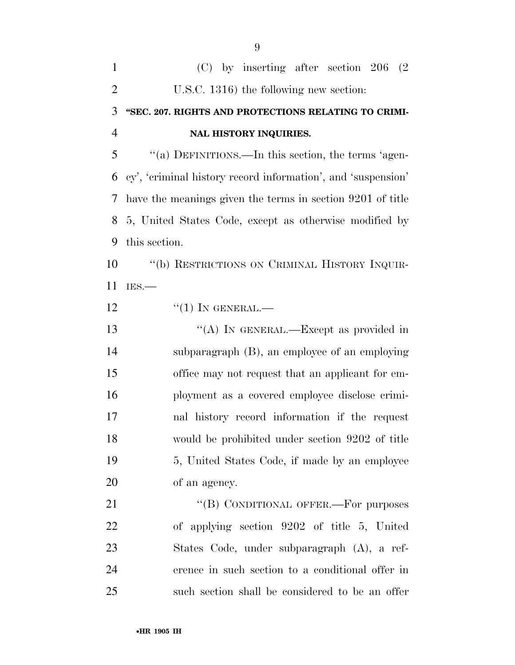| 1              | $(C)$ by inserting after section 206 $(2)$                     |
|----------------|----------------------------------------------------------------|
| 2              | U.S.C. 1316) the following new section:                        |
| 3              | "SEC. 207. RIGHTS AND PROTECTIONS RELATING TO CRIMI-           |
| $\overline{4}$ | <b>NAL HISTORY INQUIRIES.</b>                                  |
| 5              | "(a) DEFINITIONS.—In this section, the terms 'agen-            |
|                | 6 cy', 'criminal history record information', and 'suspension' |
|                | 7 have the meanings given the terms in section 9201 of title   |
|                | 8 5, United States Code, except as otherwise modified by       |
| 9              | this section.                                                  |
| 10             | "(b) RESTRICTIONS ON CRIMINAL HISTORY INQUIR-                  |
| 11             | IES.                                                           |
| 12             | $\lq(1)$ In GENERAL.—                                          |

13 "(A) IN GENERAL.—Except as provided in subparagraph (B), an employee of an employing office may not request that an applicant for em- ployment as a covered employee disclose crimi- nal history record information if the request would be prohibited under section 9202 of title 5, United States Code, if made by an employee of an agency.

21 "(B) CONDITIONAL OFFER.—For purposes of applying section 9202 of title 5, United States Code, under subparagraph (A), a ref- erence in such section to a conditional offer in such section shall be considered to be an offer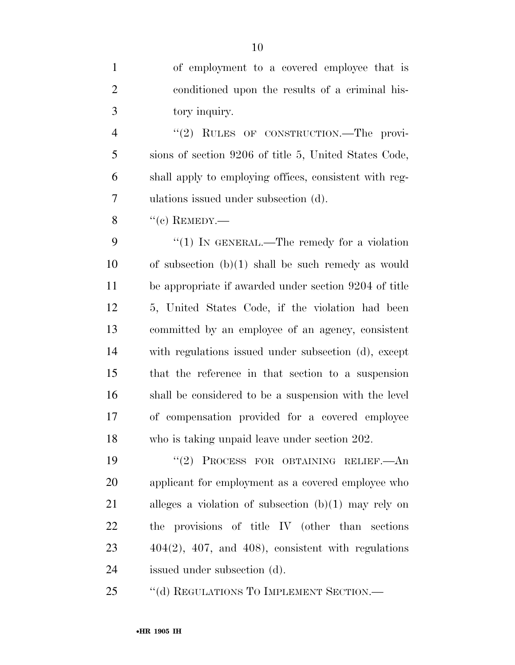of employment to a covered employee that is conditioned upon the results of a criminal his-tory inquiry.

4 "(2) RULES OF CONSTRUCTION.—The provi- sions of section 9206 of title 5, United States Code, shall apply to employing offices, consistent with reg-ulations issued under subsection (d).

 $\frac{8}{(e)}$  REMEDY.—

9 "(1) In GENERAL.—The remedy for a violation of subsection (b)(1) shall be such remedy as would be appropriate if awarded under section 9204 of title 5, United States Code, if the violation had been committed by an employee of an agency, consistent with regulations issued under subsection (d), except that the reference in that section to a suspension shall be considered to be a suspension with the level of compensation provided for a covered employee who is taking unpaid leave under section 202.

 ''(2) PROCESS FOR OBTAINING RELIEF.—An applicant for employment as a covered employee who alleges a violation of subsection (b)(1) may rely on the provisions of title IV (other than sections 404(2), 407, and 408), consistent with regulations issued under subsection (d).

25 "(d) REGULATIONS TO IMPLEMENT SECTION.—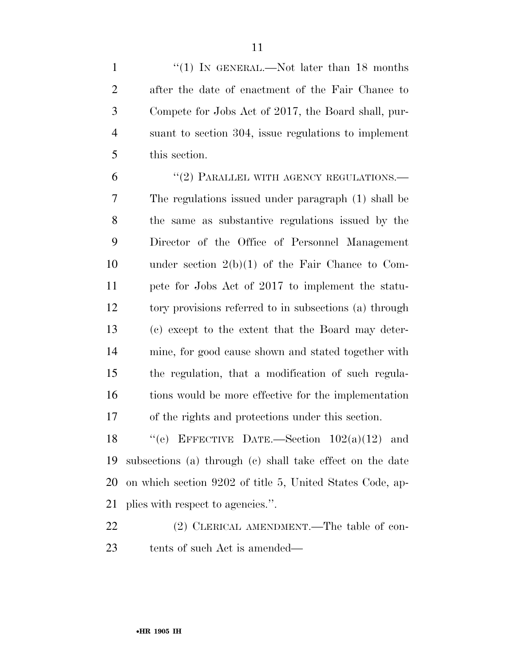1 "(1) In GENERAL.—Not later than 18 months after the date of enactment of the Fair Chance to Compete for Jobs Act of 2017, the Board shall, pur- suant to section 304, issue regulations to implement this section.

6 "(2) PARALLEL WITH AGENCY REGULATIONS.— The regulations issued under paragraph (1) shall be the same as substantive regulations issued by the Director of the Office of Personnel Management under section 2(b)(1) of the Fair Chance to Com- pete for Jobs Act of 2017 to implement the statu- tory provisions referred to in subsections (a) through (c) except to the extent that the Board may deter- mine, for good cause shown and stated together with the regulation, that a modification of such regula- tions would be more effective for the implementation of the rights and protections under this section.

 $"$ (e) EFFECTIVE DATE.—Section  $102(a)(12)$  and subsections (a) through (c) shall take effect on the date on which section 9202 of title 5, United States Code, ap-plies with respect to agencies.''.

22 (2) CLERICAL AMENDMENT.—The table of con-tents of such Act is amended—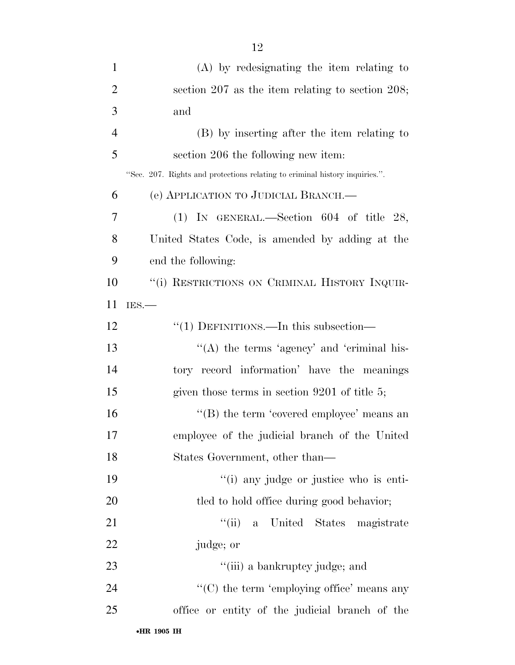| $\mathbf{1}$   | (A) by redesignating the item relating to                                   |
|----------------|-----------------------------------------------------------------------------|
| $\overline{2}$ | section $207$ as the item relating to section $208$ ;                       |
| 3              | and                                                                         |
| $\overline{4}$ | (B) by inserting after the item relating to                                 |
| 5              | section 206 the following new item:                                         |
|                | "Sec. 207. Rights and protections relating to criminal history inquiries.". |
| 6              | (e) APPLICATION TO JUDICIAL BRANCH.—                                        |
| 7              | (1) IN GENERAL.—Section 604 of title 28,                                    |
| 8              | United States Code, is amended by adding at the                             |
| 9              | end the following:                                                          |
| 10             | "(i) RESTRICTIONS ON CRIMINAL HISTORY INQUIR-                               |
| 11             | IES.                                                                        |
| 12             | "(1) DEFINITIONS.—In this subsection—                                       |
| 13             | "(A) the terms 'agency' and 'criminal his-                                  |
| 14             | tory record information' have the meanings                                  |
| 15             | given those terms in section $9201$ of title 5;                             |
| 16             | $\lq\lq$ the term 'covered employee' means an                               |
| 17             | employee of the judicial branch of the United                               |
| 18             | States Government, other than—                                              |
| 19             | "(i) any judge or justice who is enti-                                      |
| 20             | tled to hold office during good behavior;                                   |
| 21             | "(ii) a United States magistrate                                            |
| 22             | judge; or                                                                   |
| 23             | "(iii) a bankruptcy judge; and                                              |
| 24             | " $(C)$ the term 'employing office' means any                               |
| 25             | office or entity of the judicial branch of the                              |
|                |                                                                             |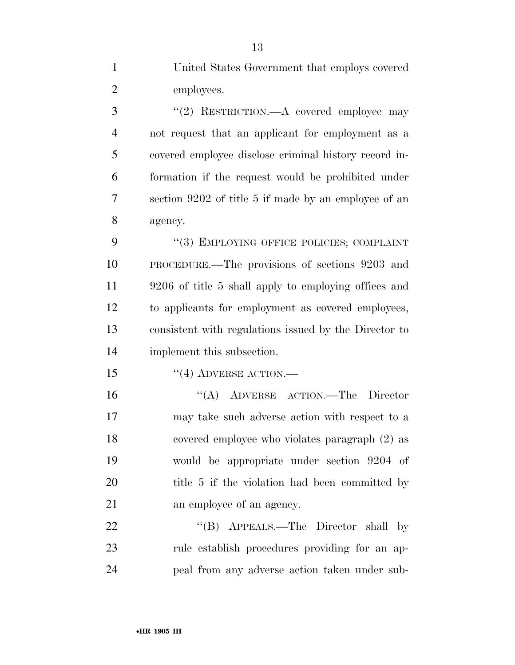United States Government that employs covered employees. 3 "(2) RESTRICTION.—A covered employee may not request that an applicant for employment as a covered employee disclose criminal history record in- formation if the request would be prohibited under section 9202 of title 5 if made by an employee of an agency. 9 "(3) EMPLOYING OFFICE POLICIES; COMPLAINT PROCEDURE.—The provisions of sections 9203 and 9206 of title 5 shall apply to employing offices and to applicants for employment as covered employees, consistent with regulations issued by the Director to implement this subsection. 15 "(4) ADVERSE ACTION.— ''(A) ADVERSE ACTION.—The Director may take such adverse action with respect to a covered employee who violates paragraph (2) as would be appropriate under section 9204 of 20 title 5 if the violation had been committed by an employee of an agency. 22 "'(B) APPEALS.—The Director shall by rule establish procedures providing for an ap-peal from any adverse action taken under sub-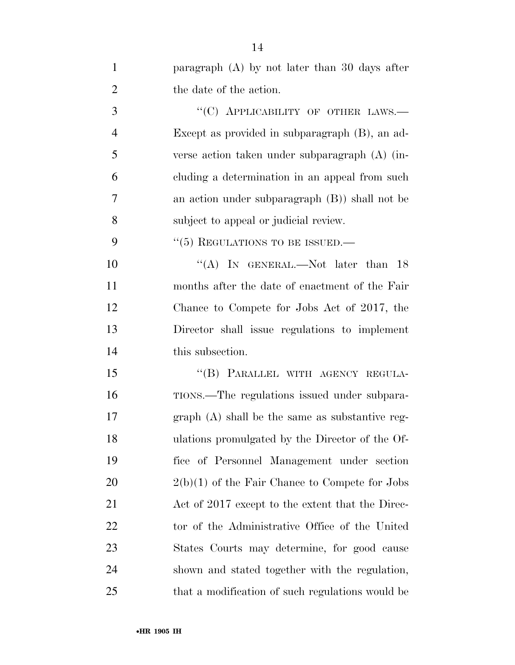| $\mathbf{1}$   | paragraph $(A)$ by not later than 30 days after  |
|----------------|--------------------------------------------------|
| $\overline{2}$ | the date of the action.                          |
| 3              | "(C) APPLICABILITY OF OTHER LAWS.-               |
| $\overline{4}$ | Except as provided in subparagraph (B), an ad-   |
| 5              | verse action taken under subparagraph (A) (in-   |
| 6              | cluding a determination in an appeal from such   |
| 7              | an action under subparagraph (B)) shall not be   |
| 8              | subject to appeal or judicial review.            |
| 9              | $\cdot\cdot$ (5) REGULATIONS TO BE ISSUED.—      |
| 10             | "(A) IN GENERAL.—Not later than $18$             |
| 11             | months after the date of enactment of the Fair   |
| 12             | Chance to Compete for Jobs Act of 2017, the      |
| 13             | Director shall issue regulations to implement    |
| 14             | this subsection.                                 |
| 15             | "(B) PARALLEL WITH AGENCY REGULA-                |
| 16             | TIONS.—The regulations issued under subpara-     |
| 17             | $graph(A)$ shall be the same as substantive reg- |
| 18             | ulations promulgated by the Director of the Of-  |
| 19             | fice of Personnel Management under section       |
| 20             | $2(b)(1)$ of the Fair Chance to Compete for Jobs |
| 21             | Act of 2017 except to the extent that the Direc- |
| 22             | tor of the Administrative Office of the United   |
| 23             | States Courts may determine, for good cause      |
| 24             | shown and stated together with the regulation,   |
| 25             | that a modification of such regulations would be |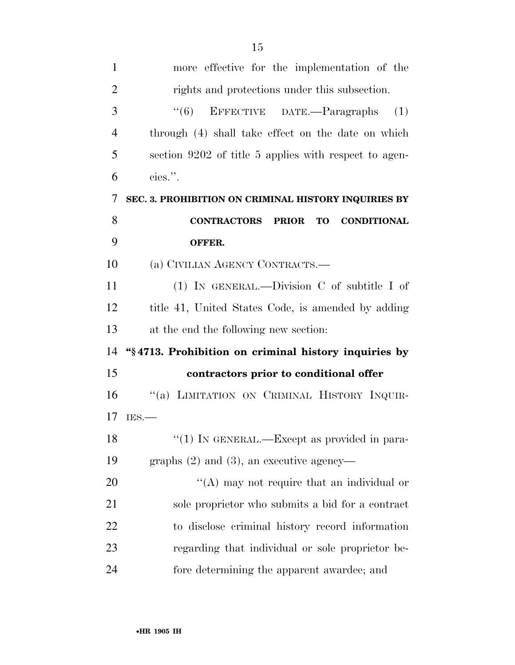| $\mathbf{1}$   | more effective for the implementation of the                |
|----------------|-------------------------------------------------------------|
| $\overline{2}$ | rights and protections under this subsection.               |
| 3              | EFFECTIVE DATE.—Paragraphs<br>(6)<br>(1)                    |
| $\overline{4}$ | through (4) shall take effect on the date on which          |
| 5              | section 9202 of title 5 applies with respect to agen-       |
| 6              | cies.".                                                     |
| 7              | SEC. 3. PROHIBITION ON CRIMINAL HISTORY INQUIRIES BY        |
| 8              | <b>CONTRACTORS PRIOR</b><br><b>CONDITIONAL</b><br><b>TO</b> |
| 9              | OFFER.                                                      |
| 10             | (a) CIVILIAN AGENCY CONTRACTS.—                             |
| 11             | (1) IN GENERAL.—Division $C$ of subtitle I of               |
| 12             | title 41, United States Code, is amended by adding          |
| 13             | at the end the following new section:                       |
| 14             | "§4713. Prohibition on criminal history inquiries by        |
|                |                                                             |
| 15             | contractors prior to conditional offer                      |
| 16             | "(a) LIMITATION ON CRIMINAL HISTORY INQUIR-                 |
| 17             | IES.                                                        |
| 18             | "(1) IN GENERAL.—Except as provided in para-                |
| 19             | graphs $(2)$ and $(3)$ , an executive agency—               |
| 20             | "(A) may not require that an individual or                  |
| 21             | sole proprietor who submits a bid for a contract            |
| 22             | to disclose criminal history record information             |
| 23             | regarding that individual or sole proprietor be-            |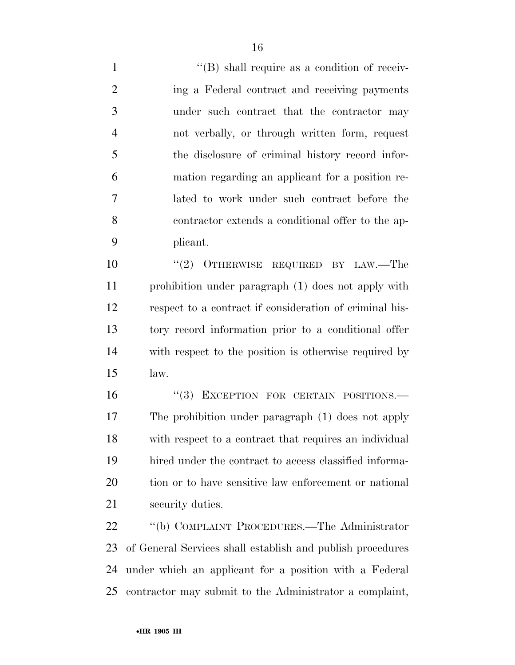$\langle$  (B) shall require as a condition of receiv- ing a Federal contract and receiving payments under such contract that the contractor may not verbally, or through written form, request the disclosure of criminal history record infor- mation regarding an applicant for a position re- lated to work under such contract before the contractor extends a conditional offer to the ap-plicant.

 $(2)$  OTHERWISE REQUIRED BY LAW.—The prohibition under paragraph (1) does not apply with respect to a contract if consideration of criminal his- tory record information prior to a conditional offer with respect to the position is otherwise required by law.

16 "(3) EXCEPTION FOR CERTAIN POSITIONS.— The prohibition under paragraph (1) does not apply with respect to a contract that requires an individual hired under the contract to access classified informa-20 tion or to have sensitive law enforcement or national security duties.

 ''(b) COMPLAINT PROCEDURES.—The Administrator of General Services shall establish and publish procedures under which an applicant for a position with a Federal contractor may submit to the Administrator a complaint,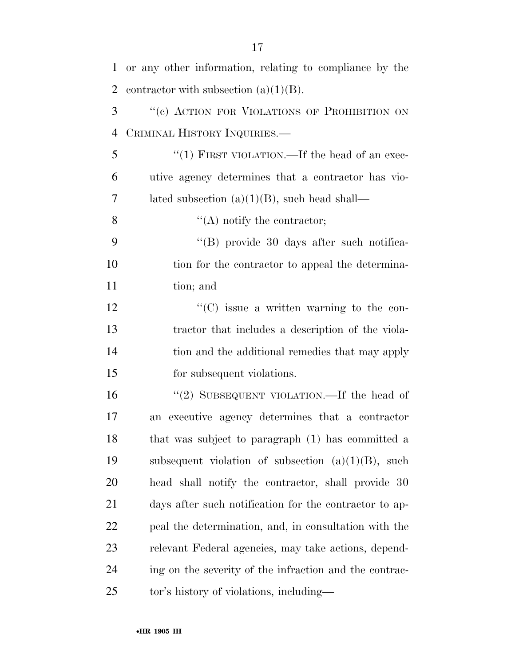| $\mathbf{1}$   | or any other information, relating to compliance by the |
|----------------|---------------------------------------------------------|
| $\overline{2}$ | contractor with subsection $(a)(1)(B)$ .                |
| 3              | "(c) ACTION FOR VIOLATIONS OF PROHIBITION ON            |
| $\overline{4}$ | CRIMINAL HISTORY INQUIRIES.                             |
| 5              | "(1) FIRST VIOLATION.—If the head of an exec-           |
| 6              | utive agency determines that a contractor has vio-      |
| 7              | lated subsection $(a)(1)(B)$ , such head shall—         |
| 8              | $\lq\lq$ notify the contractor;                         |
| 9              | "(B) provide 30 days after such notifica-               |
| 10             | tion for the contractor to appeal the determina-        |
| 11             | tion; and                                               |
| 12             | $\lq\lq$ issue a written warning to the con-            |
| 13             | tractor that includes a description of the viola-       |
| 14             | tion and the additional remedies that may apply         |
| 15             | for subsequent violations.                              |
| 16             | "(2) SUBSEQUENT VIOLATION.—If the head of               |
| 17             | executive agency determines that a contractor<br>an     |
| 18             | that was subject to paragraph (1) has committed a       |
| 19             | subsequent violation of subsection $(a)(1)(B)$ , such   |
| 20             | head shall notify the contractor, shall provide 30      |
| 21             | days after such notification for the contractor to ap-  |
| 22             | peal the determination, and, in consultation with the   |
| 23             | relevant Federal agencies, may take actions, depend-    |
| 24             | ing on the severity of the infraction and the contrac-  |
| 25             | tor's history of violations, including—                 |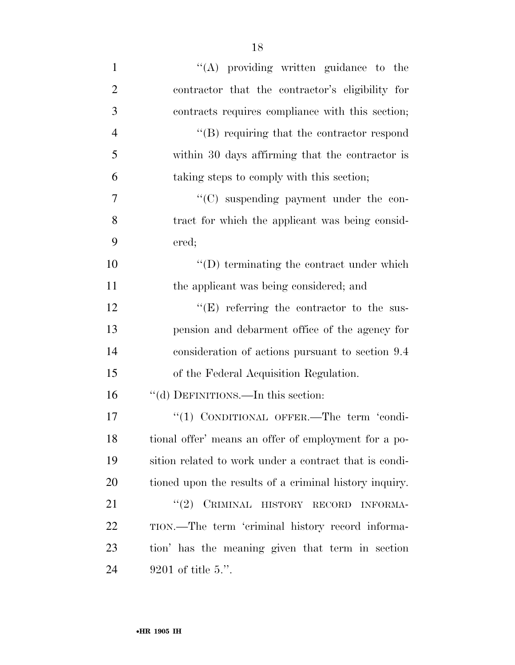| $\mathbf{1}$   | $\lq\lq$ providing written guidance to the             |
|----------------|--------------------------------------------------------|
| $\overline{2}$ | contractor that the contractor's eligibility for       |
| 3              | contracts requires compliance with this section;       |
| $\overline{4}$ | $\lq\lq$ requiring that the contractor respond         |
| 5              | within 30 days affirming that the contractor is        |
| 6              | taking steps to comply with this section;              |
| 7              | "(C) suspending payment under the con-                 |
| 8              | tract for which the applicant was being consid-        |
| 9              | ered;                                                  |
| 10             | $\lq\lq$ terminating the contract under which          |
| 11             | the applicant was being considered; and                |
| 12             | $\lq\lq(E)$ referring the contractor to the sus-       |
| 13             | pension and debarment office of the agency for         |
| 14             | consideration of actions pursuant to section 9.4       |
| 15             | of the Federal Acquisition Regulation.                 |
| 16             | "(d) DEFINITIONS.—In this section:                     |
| 17             | "(1) CONDITIONAL OFFER.—The term 'condi-               |
| 18             | tional offer' means an offer of employment for a po-   |
| 19             | sition related to work under a contract that is condi- |
| 20             | tioned upon the results of a criminal history inquiry. |
| 21             | (2)<br>CRIMINAL HISTORY RECORD<br><b>INFORMA-</b>      |
| 22             | TION.—The term 'criminal history record informa-       |
| 23             | tion' has the meaning given that term in section       |
| 24             | $9201$ of title 5.".                                   |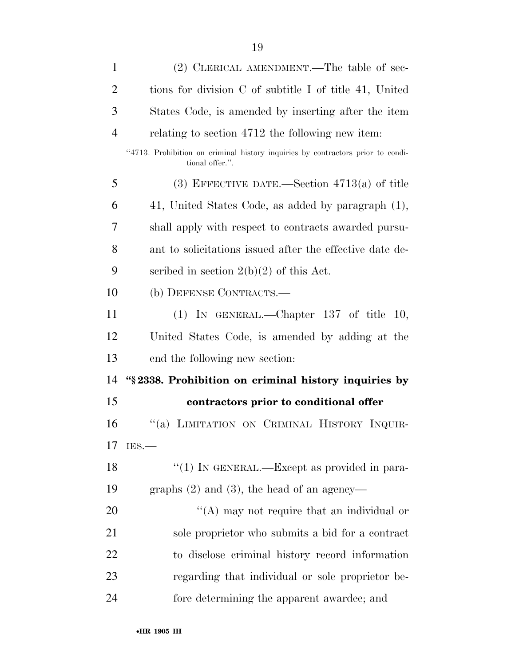| $\mathbf{1}$   | (2) CLERICAL AMENDMENT.—The table of sec-                                                          |
|----------------|----------------------------------------------------------------------------------------------------|
| $\overline{2}$ | tions for division C of subtitle I of title 41, United                                             |
| 3              | States Code, is amended by inserting after the item                                                |
| $\overline{4}$ | relating to section 4712 the following new item.                                                   |
|                | "4713. Prohibition on criminal history inquiries by contractors prior to condi-<br>tional offer.". |
| 5              | (3) EFFECTIVE DATE.—Section $4713(a)$ of title                                                     |
| 6              | 41, United States Code, as added by paragraph (1),                                                 |
| 7              | shall apply with respect to contracts awarded pursu-                                               |
| 8              | ant to solicitations issued after the effective date de-                                           |
| 9              | scribed in section $2(b)(2)$ of this Act.                                                          |
| 10             | (b) DEFENSE CONTRACTS.—                                                                            |
| 11             | (1) IN GENERAL.—Chapter $137$ of title 10,                                                         |
| 12             | United States Code, is amended by adding at the                                                    |
| 13             | end the following new section:                                                                     |
| 14             | "§2338. Prohibition on criminal history inquiries by                                               |
| 15             | contractors prior to conditional offer                                                             |
| 16             | "(a) LIMITATION ON CRIMINAL HISTORY INQUIR-                                                        |
| 17             | IES.                                                                                               |
| 18             | "(1) IN GENERAL.—Except as provided in para-                                                       |
| 19             | graphs $(2)$ and $(3)$ , the head of an agency—                                                    |
| <b>20</b>      | "(A) may not require that an individual or                                                         |
| 21             | sole proprietor who submits a bid for a contract                                                   |
| 22             | to disclose criminal history record information                                                    |
| 23             | regarding that individual or sole proprietor be-                                                   |
| 24             | fore determining the apparent awardee; and                                                         |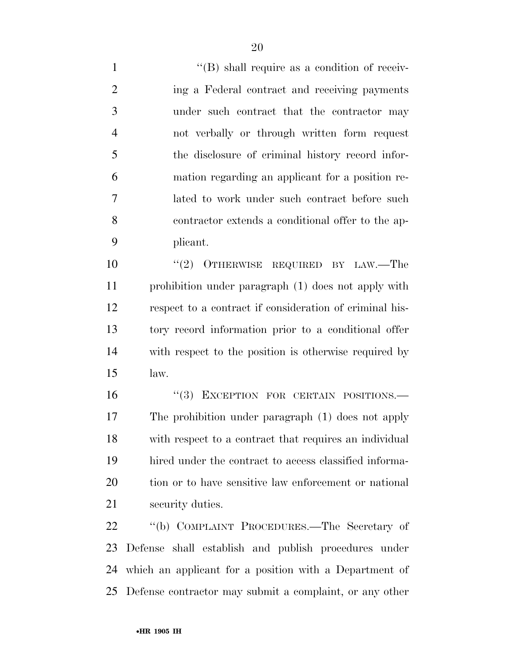$\langle$  (B) shall require as a condition of receiv- ing a Federal contract and receiving payments under such contract that the contractor may not verbally or through written form request the disclosure of criminal history record infor- mation regarding an applicant for a position re- lated to work under such contract before such contractor extends a conditional offer to the ap-plicant.

 $(2)$  OTHERWISE REQUIRED BY LAW.—The prohibition under paragraph (1) does not apply with respect to a contract if consideration of criminal his- tory record information prior to a conditional offer with respect to the position is otherwise required by law.

16 "(3) EXCEPTION FOR CERTAIN POSITIONS.— The prohibition under paragraph (1) does not apply with respect to a contract that requires an individual hired under the contract to access classified informa-20 tion or to have sensitive law enforcement or national security duties.

 ''(b) COMPLAINT PROCEDURES.—The Secretary of Defense shall establish and publish procedures under which an applicant for a position with a Department of Defense contractor may submit a complaint, or any other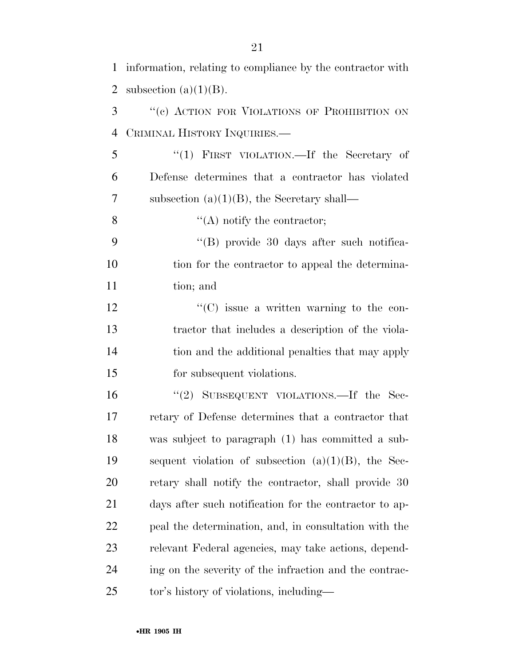information, relating to compliance by the contractor with 2 subsection  $(a)(1)(B)$ . ''(c) ACTION FOR VIOLATIONS OF PROHIBITION ON CRIMINAL HISTORY INQUIRIES.— ''(1) FIRST VIOLATION.—If the Secretary of Defense determines that a contractor has violated subsection (a)(1)(B), the Secretary shall—  $\mathcal{C}(A)$  notify the contractor; ''(B) provide 30 days after such notifica-10 tion for the contractor to appeal the determina- tion; and  $\cdot$  (C) issue a written warning to the con- tractor that includes a description of the viola- tion and the additional penalties that may apply for subsequent violations. ''(2) SUBSEQUENT VIOLATIONS.—If the Sec- retary of Defense determines that a contractor that was subject to paragraph (1) has committed a sub- sequent violation of subsection (a)(1)(B), the Sec-20 retary shall notify the contractor, shall provide 30 days after such notification for the contractor to ap- peal the determination, and, in consultation with the relevant Federal agencies, may take actions, depend- ing on the severity of the infraction and the contrac-tor's history of violations, including—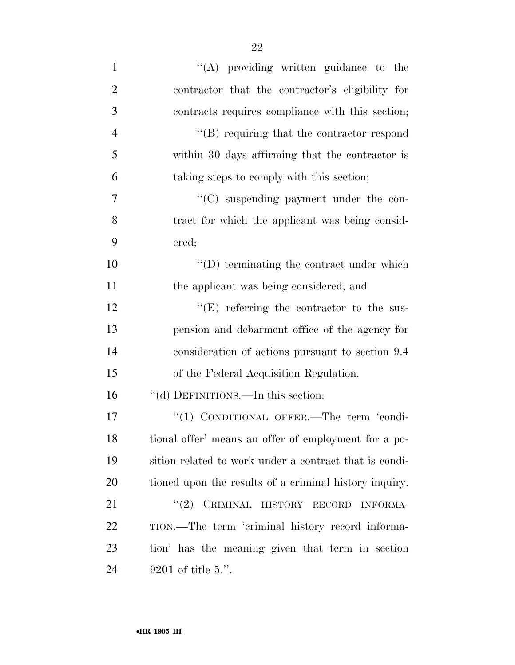| $\mathbf{1}$   | $\lq\lq$ providing written guidance to the             |
|----------------|--------------------------------------------------------|
| $\overline{2}$ | contractor that the contractor's eligibility for       |
| 3              | contracts requires compliance with this section;       |
| $\overline{4}$ | $\lq\lq$ requiring that the contractor respond         |
| 5              | within 30 days affirming that the contractor is        |
| 6              | taking steps to comply with this section;              |
| 7              | "(C) suspending payment under the con-                 |
| 8              | tract for which the applicant was being consid-        |
| 9              | ered;                                                  |
| 10             | $\lq\lq$ terminating the contract under which          |
| 11             | the applicant was being considered; and                |
| 12             | $\lq\lq(E)$ referring the contractor to the sus-       |
| 13             | pension and debarment office of the agency for         |
| 14             | consideration of actions pursuant to section 9.4       |
| 15             | of the Federal Acquisition Regulation.                 |
| 16             | "(d) DEFINITIONS.—In this section:                     |
| 17             | "(1) CONDITIONAL OFFER.—The term 'condi-               |
| 18             | tional offer' means an offer of employment for a po-   |
| 19             | sition related to work under a contract that is condi- |
| 20             | tioned upon the results of a criminal history inquiry. |
| 21             | (2)<br>CRIMINAL HISTORY RECORD<br><b>INFORMA-</b>      |
| 22             | TION.—The term 'criminal history record informa-       |
| 23             | tion' has the meaning given that term in section       |
| 24             | $9201$ of title 5.".                                   |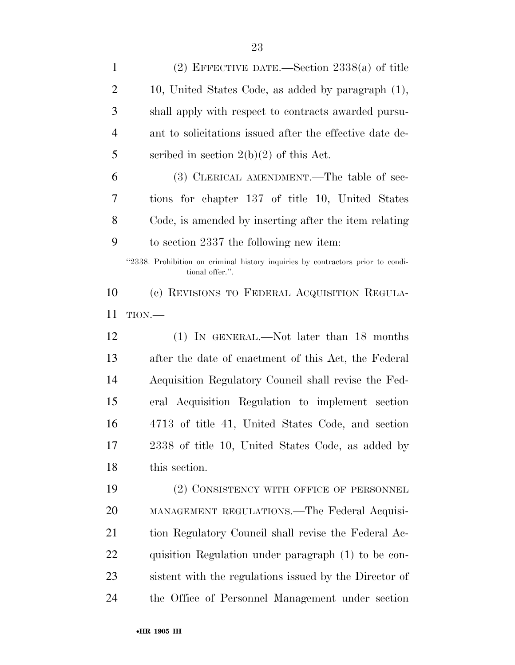| $\mathbf{1}$   | (2) EFFECTIVE DATE.—Section $2338(a)$ of title                                                     |
|----------------|----------------------------------------------------------------------------------------------------|
| $\overline{2}$ | 10, United States Code, as added by paragraph (1),                                                 |
| 3              | shall apply with respect to contracts awarded pursu-                                               |
| $\overline{4}$ | ant to solicitations issued after the effective date de-                                           |
| 5              | scribed in section $2(b)(2)$ of this Act.                                                          |
| 6              | (3) CLERICAL AMENDMENT.—The table of sec-                                                          |
| 7              | tions for chapter 137 of title 10, United States                                                   |
| 8              | Code, is amended by inserting after the item relating                                              |
| 9              | to section 2337 the following new item:                                                            |
|                | "2338. Prohibition on criminal history inquiries by contractors prior to condi-<br>tional offer.". |
| 10             | (c) REVISIONS TO FEDERAL ACQUISITION REGULA-                                                       |
| 11             | TION                                                                                               |
| 12             | (1) IN GENERAL.—Not later than 18 months                                                           |
| 13             | after the date of enactment of this Act, the Federal                                               |
| 14             | Acquisition Regulatory Council shall revise the Fed-                                               |
| 15             | eral Acquisition Regulation to implement section                                                   |
| 16             | 4713 of title 41, United States Code, and section                                                  |
| 17             | 2338 of title 10, United States Code, as added by                                                  |
| 18             | this section.                                                                                      |
| 19             | (2) CONSISTENCY WITH OFFICE OF PERSONNEL                                                           |
| 20             | MANAGEMENT REGULATIONS.—The Federal Acquisi-                                                       |
| 21             | tion Regulatory Council shall revise the Federal Ac-                                               |
| 22             | quisition Regulation under paragraph (1) to be con-                                                |
| 23             | sistent with the regulations issued by the Director of                                             |
|                |                                                                                                    |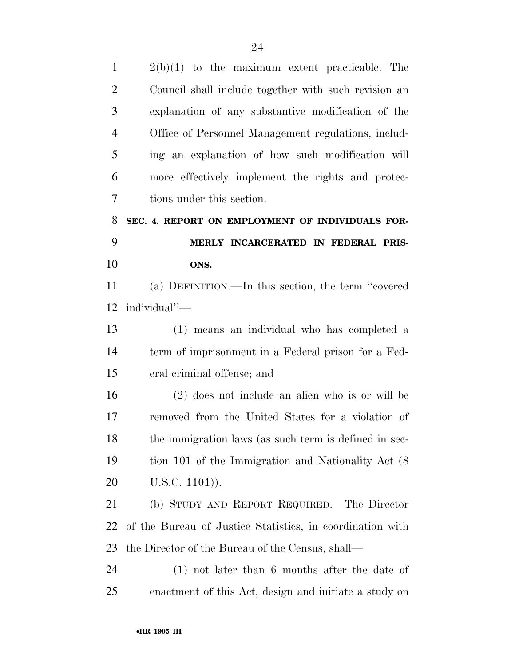| $\mathbf{1}$   | $2(b)(1)$ to the maximum extent practicable. The          |
|----------------|-----------------------------------------------------------|
| $\overline{2}$ | Council shall include together with such revision an      |
| 3              | explanation of any substantive modification of the        |
| $\overline{4}$ | Office of Personnel Management regulations, includ-       |
| 5              | ing an explanation of how such modification will          |
| 6              | more effectively implement the rights and protec-         |
| 7              | tions under this section.                                 |
| 8              | SEC. 4. REPORT ON EMPLOYMENT OF INDIVIDUALS FOR-          |
| 9              | MERLY INCARCERATED IN FEDERAL PRIS-                       |
| 10             | ONS.                                                      |
| 11             | (a) DEFINITION.—In this section, the term "covered        |
| 12             | individual"-                                              |
| 13             | (1) means an individual who has completed a               |
| 14             | term of imprisonment in a Federal prison for a Fed-       |
| 15             | eral criminal offense; and                                |
| 16             | $(2)$ does not include an alien who is or will be         |
| 17             | removed from the United States for a violation of         |
| 18             | the immigration laws (as such term is defined in sec-     |
| 19             | tion 101 of the Immigration and Nationality Act (8)       |
| 20             | $U.S.C. 1101)$ ).                                         |
| 21             | (b) STUDY AND REPORT REQUIRED.—The Director               |
| 22             | of the Bureau of Justice Statistics, in coordination with |
| 23             | the Director of the Bureau of the Census, shall—          |
| 24             | $(1)$ not later than 6 months after the date of           |
| 25             | enactment of this Act, design and initiate a study on     |